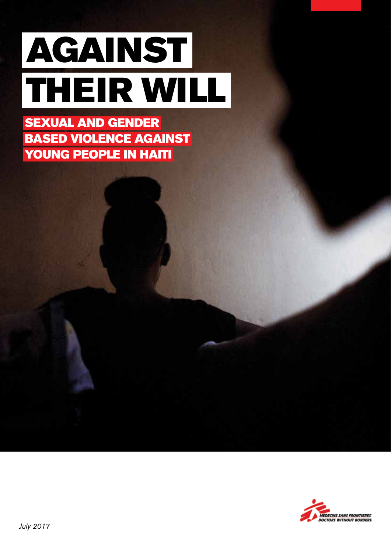# AGAINST THEIR WILL

SEXUAL AND GENDER BASED VIOLENCE AGAINST YOUNG PEOPLE IN HAITI

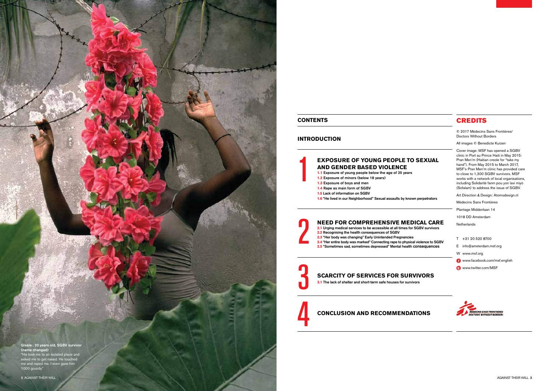© 2017 Médecins Sans Frontières/ Doctors Without Borders

All images © Benedicte Kurzen

Cover image: MSF has opened a SGBV clinic in Port au Prince Haiti in May 2015: Pran Men'm (Haitian creole for "take my hand"). From May 2015 to March 2017, MSF's Pran Men'm clinic has provided care to close to 1,300 SGBV survivors. MSF works with a network of local organisations, including Solidarité fanm pou yon lavi miyò (Sofalam) to address the issue of SGBV. Art Direction & Design: Atomodesign.nl

Médecins Sans Frontières Plantage Middenlaan 14 1018 DD Amsterdam

Netherlands

T +31 20 520 8700

- E info@amsterdam.msf.org
- W www.msf.org

- www.facebook.com/msf.english
- www.twitter.com/MSF





#### **INTRODUCTION**

#### **CONTENTS**

### **EXPOSURE OF YOUNG PEOPLE TO SEXUAL AND GENDER BASED VIOLENCE**



- **1.1** Exposure of young people below the age of 25 years
- **1.2** Exposure of minors (below 18 years)
- **1.3** Exposure of boys and men
- **1.4** Rape as main form of SGBV
- **1.5** Lack of information on SGBV
- **1.6** "He lived in our Neighborhood" Sexual assaults by known perpetrators

**NEED FOR COMPREHENSIVE MEDICAL CARE 2.1** Urging medical services to be accessible at all times for SGBV survivors

**2.2** Recognising the health consequences of SGBV **2.3** "Her body was changing" Early Unintended Pregnancies **2.4** "Her entire body was marked" Connecting rape to physical violence to SGBV **2.5** "Sometimes sad, sometimes depressed" Mental health consequences

**SCARCITY OF SERVICES FOR SURVIVORS**

**3.1** The lack of shelter and short-term safe houses for survivors

1<br>2<br>3<br>4

**CONCLUSION AND RECOMMENDATIONS**

### **CREDITS**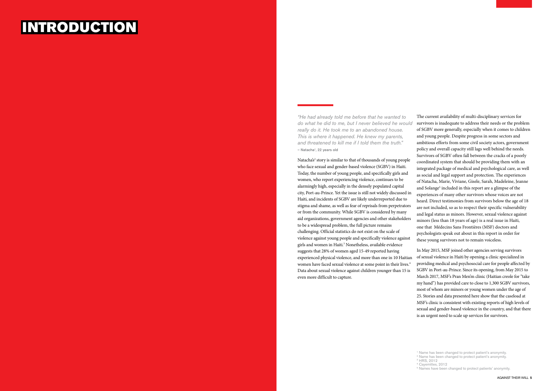<sup>1</sup> Name has been changed to protect patient's anonymity. <sup>2</sup> Name has been changed to protect patient's anonymity. 3 HRS, 2012 4 Cayemittes, 2012

<sup>5</sup> Names have been changed to protect patients' anonymity

*"He had already told me before that he wanted to do what he did to me, but I never believed he would*  survivors is inadequate to address their needs or the problem *really do it. He took me to an abandoned house. This is where it happened. He knew my parents, and threatened to kill me if I told them the truth."*  - Natacha<sup>1</sup>, 22 years old

Natacha's<sup>2</sup> story is similar to that of thousands of young people who face sexual and gender-based violence (SGBV) in Haiti. Today, the number of young people, and specifically girls and women, who report experiencing violence, continues to be alarmingly high, especially in the densely populated capital city, Port-au-Prince. Yet the issue is still not widely discussed in Haiti, and incidents of SGBV are likely underreported due to stigma and shame, as well as fear of reprisals from perpetrators or from the community. While SGBV is considered by many aid organizations, government agencies and other stakeholders to be a widespread problem, the full picture remains challenging. Official statistics do not exist on the scale of violence against young people and specifically violence against girls and women in Haiti.<sup>3</sup> Nonetheless, available evidence suggests that 28% of women aged 15-49 reported having experienced physical violence, and more than one in 10 Haitian women have faced sexual violence at some point in their lives.<sup>4</sup> Data about sexual violence against children younger than 15 is even more difficult to capture.

# INTRODUCTION

The current availability of multi-disciplinary services for of SGBV more generally, especially when it comes to children and young people. Despite progress in some sectors and ambitious efforts from some civil society actors, government policy and overall capacity still lags well behind the needs. Survivors of SGBV often fall between the cracks of a poorly coordinated system that should be providing them with an integrated package of medical and psychological care, as well as social and legal support and protection. The experiences of Natacha, Marie, Viviane, Gisele, Sarah, Madeleine, Jeanne and Solange<sup>5</sup> included in this report are a glimpse of the experiences of many other survivors whose voices are not heard. Direct testimonies from survivors below the age of 18 are not included, so as to respect their specific vulnerability and legal status as minors. However, sexual violence against minors (less than 18 years of age) is a real issue in Haiti, one that Médecins Sans Frontières (MSF) doctors and psychologists speak out about in this report in order for these young survivors not to remain voiceless.

In May 2015, MSF joined other agencies serving survivors of sexual violence in Haiti by opening a clinic specialized in providing medical and psychosocial care for people affected by SGBV in Port-au-Prince. Since its opening, from May 2015 to March 2017, MSF's Pran Men'm clinic (Haitian creole for "take my hand") has provided care to close to 1,300 SGBV survivors, most of whom are minors or young women under the age of 25. Stories and data presented here show that the caseload at MSF's clinic is consistent with existing reports of high levels of sexual and gender-based violence in the country, and that there is an urgent need to scale up services for survivors.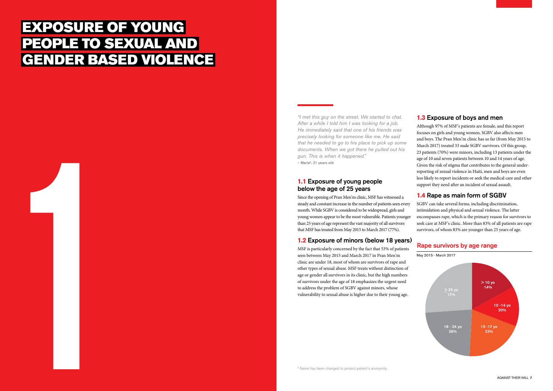*"I met this guy on the street. We started to chat. After a while I told him I was looking for a job. He immediately said that one of his friends was precisely looking for someone like me. He said that he needed to go to his place to pick up some documents. When we got there he pulled out his gun. This is when it happened."*  - Marie<sup>6</sup>, 21 years old

# EXPOSURE OF YOUNG PEOPLE TO SEXUAL AND GENDER BASED VIOLENCE

# **1.1** Exposure of young people below the age of 25 years

Find the condition of the protocole field in the condition of the protocole field in the condition of the condition of the condition of the condition of  $\theta$  and  $\theta$  and  $\theta$  and  $\theta$  and  $\theta$  and  $\theta$  and  $\theta$  and  $\theta$  MSF is particularly concerned by the fact that 53% of patients seen between May 2015 and March 2017 in Pran Men'm clinic are under 18, most of whom are survivors of rape and other types of sexual abuse. MSF treats without distinction of age or gender all survivors in its clinic, but the high numbers of survivors under the age of 18 emphasizes the urgent need to address the problem of SGBV against minors, whose vulnerability to sexual abuse is higher due to their young age.

Since the opening of Pran Men'm clinic, MSF has witnessed a steady and constant increase in the number of patients seen every month. While SGBV is considered to be widespread, girls and young women appear to be the most vulnerable. Patients younger than 25 years of age represent the vast majority of all survivors that MSF has treated from May 2015 to March 2017 (77%).

# **1.2** Exposure of minors (below 18 years)

# **1.3** Exposure of boys and men

Although 97% of MSF's patients are female, and this report focuses on girls and young women, SGBV also affects men and boys. The Pran Men'm clinic has so far (from May 2015 to March 2017) treated 33 male SGBV survivors. Of this group, 23 patients (70%) were minors, including 13 patients under the age of 10 and seven patients between 10 and 14 years of age. Given the risk of stigma that contributes to the general underreporting of sexual violence in Haiti, men and boys are even less likely to report incidents or seek the medical care and other support they need after an incident of sexual assault.

# **1.4** Rape as main form of SGBV

SGBV can take several forms, including discrimination, intimidation and physical and sexual violence. The latter encompasses rape, which is the primary reason for survivors to seek care at MSF's clinic. More than 83% of all patients are rape survivors, of whom 83% are younger than 25 years of age.



### Rape survivors by age range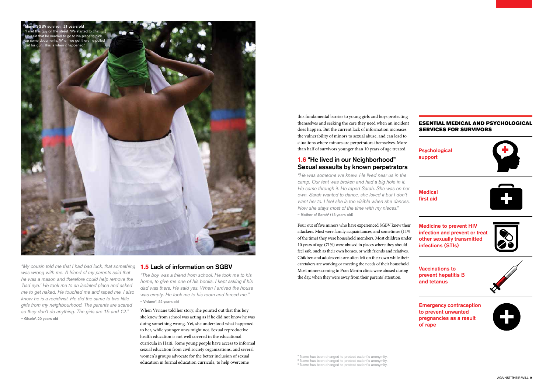*"My cousin told me that I had bad luck, that something was wrong with me. A friend of my parents said that he was a mason and therefore could help remove the 'bad eye.' He took me to an isolated place and asked me to get naked. He touched me and raped me. I also know he is a recidivist. He did the same to two little girls from my neighbourhood. The parents are scared so they don't do anything. The girls are 15 and 12."*  - Gisele<sup>7</sup>, 20 years old

*"The boy was a friend from school. He took me to his home, to give me one of his books. I kept asking if his dad was there. He said yes. When I arrived the house was empty. He took me to his room and forced me."*  - Viviane<sup>8</sup>, 22 years old

# **1.5** Lack of information on SGBV

**Psychological** support



*"He was someone we knew. He lived near us in the camp. Our tent was broken and had a big hole in it. He came through it. He raped Sarah. She was on her own. Sarah wanted to dance, she loved it but I don't want her to. I feel she is too visible when she dances. Now she stays most of the time with my nieces."*  - Mother of Sarah<sup>9</sup> (13 years old)

When Viviane told her story, she pointed out that this boy she knew from school was acting as if he did not know he was doing something wrong. Yet, she understood what happened to her, while younger ones might not. Sexual reproductive health education is not well covered in the educational curricula in Haiti. Some young people have access to informal sexual education from civil society organizations, and several women's groups advocate for the better inclusion of sexual education in formal education curricula, to help overcome

Medical first aid

Medicine to prevent HIV infection and prevent or treat other sexually transmitted infections (STIs)



Vaccinations to prevent hepatitis B and tetanus



Emergency contraception to prevent unwanted pregnancies as a result of rape



#### ESENTIAL MEDICAL AND PSYCHOLOGICAL SERVICES FOR SURVIVORS

this fundamental barrier to young girls and boys protecting themselves and seeking the care they need when an incident does happen. But the current lack of information increases the vulnerability of minors to sexual abuse, and can lead to situations where minors are perpetrators themselves. More than half of survivors younger than 10 years of age treated

# **1.6** "He lived in our Neighborhood" Sexual assaults by known perpetrators

Four out of five minors who have experienced SGBV knew their attackers. Most were family acquaintances, and sometimes (11% of the time) they were household members. Most children under 10 years of age (71%) were abused in places where they should feel safe, such as their own homes, or with friends and relatives. Children and adolescents are often left on their own while their caretakers are working or meeting the needs of their household. Most minors coming to Pran Men'm clinic were abused during the day, when they were away from their parents' attention.



<sup>&</sup>lt;sup>7</sup> Name has been changed to protect patient's anonymity <sup>8</sup> Name has been changed to protect patient's anonymity <sup>9</sup> Name has been changed to protect patient's anonymity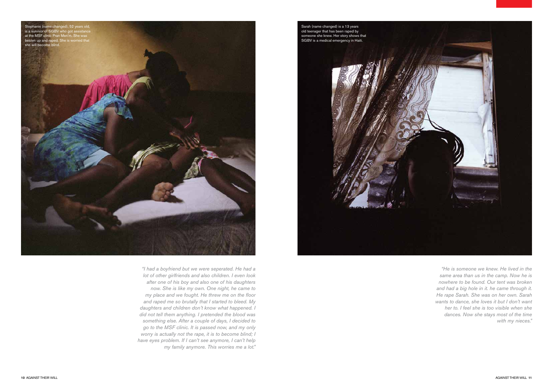



*"He is someone we knew. He lived in the same area than us in the camp. Now he is nowhere to be found. Our tent was broken and had a big hole in it. he came through it. He rape Sarah. She was on her own. Sarah wants to dance, she loves it but I don't want her to. I feel she is too visible when she dances. Now she stays most of the time with my nieces."*

*"I had a boyfriend but we were seperated. He had a lot of other girlfriends and also children. I even look after one of his boy and also one of his daughters now. She is like my own. One night, he came to my place and we fought. He threw me on the floor and raped me so brutally that I started to bleed. My daughters and children don't know what happened. I did not tell them anything. I pretended the blood was something else. After a couple of days, I decided to go to the MSF clinic. It is passed now, and my only worry is actually not the rape, it is to become blind; I have eyes problem. If I can't see anymore, I can't help my family anymore. This worries me a lot."*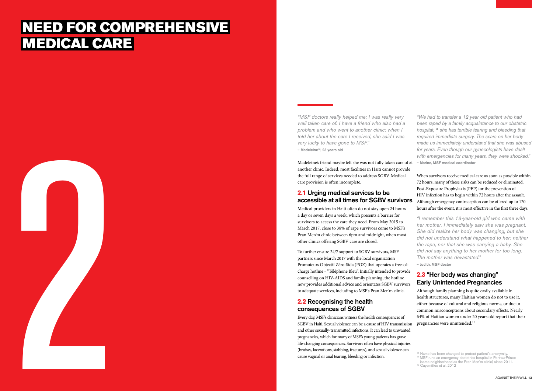11 MSF runs an emergency obstetrics hospital in Port-au-Prince

(same neighborhood as the Pran Men'm clinic) since 2011.

# NEED FOR COMPREHENSIVE MEDICAL CARE

*"MSF doctors really helped me; I was really very well taken care of. I have a friend who also had a problem and who went to another clinic; when I told her about the care I received, she said I was very lucky to have gone to MSF."* 

– Madeleine10, 23 years old

Madeleine's friend maybe felt she was not fully taken care of at another clinic. Indeed, most facilities in Haiti cannot provide the full range of services needed to address SGBV. Medical care provision is often incomplete.

12 Cayer Street Control 2012 Cayer Control 2012 Cayer Control 2012 Cayer Control 2012 Cayer Cayer Cayer Control 2012 Cayer Cayer Cayer Cayer Cayer Cayer Cayer Cayer Cayer Cayer Cayer Cayer Cayer Cayer Cayer Cayer Cayer Ca To further ensure 24/7 support to SGBV survivors, MSF partners since March 2017 with the local organization Promoteurs Objectif Zéro-Sida (POZ) that operates a free-ofcharge hotline - "Téléphone Bleu". Initially intended to provide counselling on HIV-AIDS and family planning, the hotline now provides additional advice and orientates SGBV survivors to adequate services, including to MSF's Pran Men'm clinic.

### **2.1** Urging medical services to be accessible at all times for SGBV survivors

Medical providers in Haiti often do not stay open 24 hours a day or seven days a week, which presents a barrier for survivors to access the care they need. From May 2015 to March 2017, close to 38% of rape survivors come to MSF's Pran Men'm clinic between 6pm and midnight, when most other clinics offering SGBV care are closed.

# **2.2** Recognising the health consequences of SGBV

Every day, MSF's clinicians witness the health consequences of SGBV in Haiti. Sexual violence can be a cause of HIV transmission and other sexually-transmitted infections. It can lead to unwanted pregnancies, which for many of MSF's young patients has grave life-changing consequences. Survivors often have physical injuries (bruises, lacerations, stabbing, fractures), and sexual violence can cause vaginal or anal tearing, bleeding or infection.

*"We had to transfer a 12 year-old patient who had been raped by a family acquaintance to our obstetric hospital;* 11 *she has terrible tearing and bleeding that required immediate surgery. The scars on her body made us immediately understand that she was abused for years. Even though our gynecologists have dealt with emergencies for many years, they were shocked."*  – Marine, MSF medical coordinator

When survivors receive medical care as soon as possible within 72 hours, many of these risks can be reduced or eliminated. Post-Exposure Prophylaxis (PEP) for the prevention of HIV infection has to begin within 72 hours after the assault. Although emergency contraception can be offered up to 120 hours after the event, it is most effective in the first three days.

*"I remember this 13-year-old girl who came with her mother. I immediately saw she was pregnant. She did realize her body was changing, but she did not understand what happened to her: neither the rape, nor that she was carrying a baby. She did not say anything to her mother for too long. The mother was devastated."*  – Judith, MSF doctor

# **2.3** "Her body was changing" Early Unintended Pregnancies

Although family planning is quite easily available in health structures, many Haitian women do not to use it, either because of cultural and religious norms, or due to common misconceptions about secondary effects. Nearly 64% of Haitian women under 20 years old report that their pregnancies were unintended.12

<sup>10</sup> Name has been changed to protect patient's anonymity.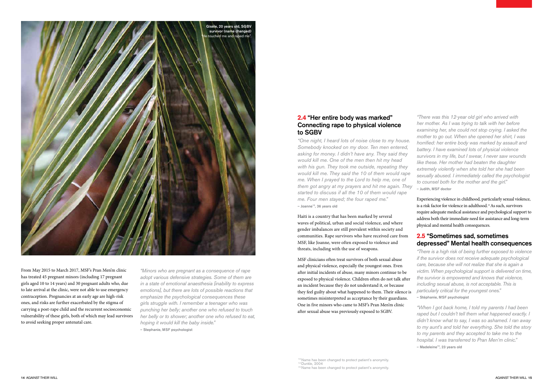From May 2015 to March 2017, MSF's Pran Men'm clinic has treated 45 pregnant minors (including 17 pregnant girls aged 10 to 14 years) and 30 pregnant adults who, due to late arrival at the clinic, were not able to use emergency contraception. Pregnancies at an early age are high-risk ones, and risks are further exacerbated by the stigma of carrying a post-rape child and the recurrent socioeconomic vulnerability of these girls, both of which may lead survivors to avoid seeking proper antenatal care.

*"Minors who are pregnant as a consequence of rape adopt various defensive strategies. Some of them are in a state of emotional anaesthesia [inability to express emotions], but there are lots of possible reactions that emphasize the psychological consequences these girls struggle with. I remember a teenager who was punching her belly; another one who refused to touch her belly or to shower; another one who refused to eat, hoping it would kill the baby inside."* 

– Stephanie, MSF psychologist

# **2.4** "Her entire body was marked" Connecting rape to physical violence to SGBV

*"One night, I heard lots of noise close to my house. Somebody knocked on my door. Ten men entered, asking for money. I didn't have any. They said they would kill me. One of the men then hit my head with his gun. They took me outside, repeating they would kill me. They said the 10 of them would rape me. When I prayed to the Lord to help me, one of them got angry at my prayers and hit me again. They started to discuss if all the 10 of them would rape me. Four men stayed; the four raped me."*  – Joanne13, 36 years old

Haiti is a country that has been marked by several waves of political, urban and social violence, and where gender imbalances are still prevalent within society and communities. Rape survivors who have received care from MSF, like Joanne, were often exposed to violence and threats, including with the use of weapons.

MSF clinicians often treat survivors of both sexual abuse and physical violence, especially the youngest ones. Even after initial incidents of abuse, many minors continue to be exposed to physical violence. Children often do not talk after an incident because they do not understand it, or because they feel guilty about what happened to them. Their silence is sometimes misinterpreted as acceptance by their guardians. One in five minors who came to MSF's Pran Men'm clinic after sexual abuse was previously exposed to SGBV.

*"There was this 12-year old girl who arrived with her mother. As I was trying to talk with her before examining her, she could not stop crying. I asked the mother to go out. When she opened her shirt, I was horrified: her entire body was marked by assault and battery. I have examined lots of physical violence survivors in my life, but I swear, I never saw wounds like these. Her mother had beaten the daughter extremely violently when she told her she had been sexually abused. I immediately called the psychologist to counsel both for the mother and the girl."*  – Judith, MSF doctor

Experiencing violence in childhood, particularly sexual violence, is a risk factor for violence in adulthood.14As such, survivors require adequate medical assistance and psychological support to address both their immediate need for assistance and long-term physical and mental health consequences.

# **2.5** "Sometimes sad, sometimes depressed" Mental health consequences

*"There is a high risk of being further exposed to violence if the survivor does not receive adequate psychological care, because she will not realize that she is again a victim. When psychological support is delivered on time, the survivor is empowered and knows that violence, including sexual abuse, is not acceptable. This is particularly critical for the youngest ones."* – Stéphanie, MSF psychologist

*"When I got back home, I told my parents I had been raped but I couldn't tell them what happened exactly. I didn't know what to say, I was so ashamed. I ran away to my aunt's and told her everything. She told the story to my parents and they accepted to take me to the hospital. I was transferred to Pran Men'm clinic."* – Madeleine15, 23 years old

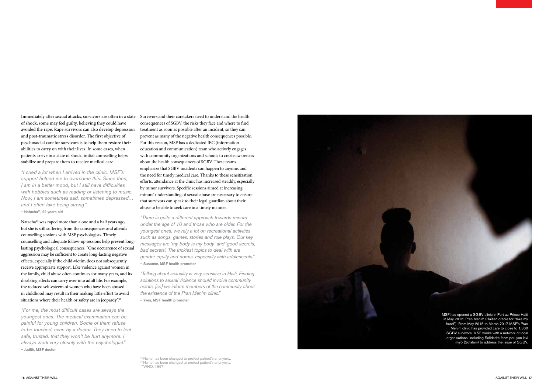Immediately after sexual attacks, survivors are often in a state Survivors and their caretakers need to understand the health of shock; some may feel guilty, believing they could have avoided the rape. Rape survivors can also develop depression and post-traumatic stress disorder. The first objective of psychosocial care for survivors is to help them restore their abilities to carry on with their lives. In some cases, when patients arrive in a state of shock, initial counselling helps stabilize and prepare them to receive medical care.

*"I cried a lot when I arrived in the clinic. MSF's support helped me to overcome this. Since then, I am in a better mood, but I still have difficulties with hobbies such as reading or listening to music. Now, I am sometimes sad, sometimes depressed… and I often fake being strong."*  – Natacha16, 22 years old

Natacha<sup>17</sup> was raped more than a one and a half years ago, but she is still suffering from the consequences and attends counselling sessions with MSF psychologists. Timely counselling and adequate follow-up sessions help prevent longlasting psychological consequences. "One occurrence of sexual aggression may be sufficient to create long-lasting negative effects, especially if the child-victim does not subsequently receive appropriate support. Like violence against women in the family, child abuse often continues for many years, and its disabling effects can carry over into adult life. For example, the reduced self-esteem of women who have been abused in childhood may result in their making little effort to avoid situations where their health or safety are in jeopardy".<sup>18</sup>

*"For me, the most difficult cases are always the youngest ones. The medical examination can be painful for young children. Some of them refuse to be touched, even by a doctor. They need to feel safe, trusted, that they won't be hurt anymore. I always work very closely with the psychologist."*  – Judith, MSF doctor

> <sup>16</sup> Name has been changed to protect patient's anonymity. <sup>17</sup> Name has been changed to protect patient's anonymity. 18 WHO, 1997

consequences of SGBV, the risks they face and where to find treatment as soon as possible after an incident, so they can prevent as many of the negative health consequences possible. For this reason, MSF has a dedicated IEC (information education and communication) team who actively engages with community organizations and schools to create awareness about the health consequences of SGBV. These teams emphasize that SGBV incidents can happen to anyone, and the need for timely medical care. Thanks to these sensitization efforts, attendance at the clinic has increased steadily, especially by minor survivors. Specific sessions aimed at increasing minors' understanding of sexual abuse are necessary to ensure that survivors can speak to their legal guardian about their abuse to be able to seek care in a timely manner.

*"There is quite a different approach towards minors under the age of 10 and those who are older. For the youngest ones, we rely a lot on recreational activities such as songs, games, stories and role plays. Our key messages are 'my body is my body' and 'good secrets, bad secrets'. The trickiest topics to deal with are gender equity and norms, especially with adolescents."*  – Susanne, MSF health promoter

*"Talking about sexuality is very sensitive in Haiti. Finding solutions to sexual violence should involve community actors, [so] we inform members of the community about the existence of the Pran Men'm clinic."*  – Yves, MSF health promoter



MSF has opened a SGBV clinic in Port au Prince Haiti in May 2015: Pran Men'm (Haitian creole for "take my hand"). From May 2015 to March 2017, MSF's Pran Men'm clinic has provided care to close to 1,300 SGBV survivors. MSF works with a network of local organisations, including Solidarité fanm pou yon lavi miyò (Sofalam) to address the issue of SGBV.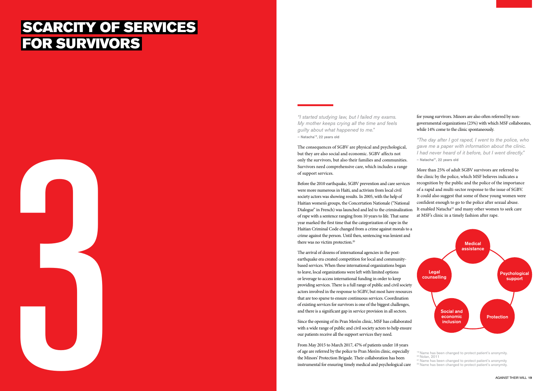3

# SCARCITY OF SERVICES FOR SURVIVORS

*"I started studying law, but I failed my exams. My mother keeps crying all the time and feels guilty about what happened to me."* – Natacha19, 22 years old

Before the 2010 earthquake, SGBV prevention and care services were more numerous in Haiti, and activism from local civil society actors was showing results. In 2005, with the help of Haitian women's groups, the Concertation Nationale ("National Dialogue" in French) was launched and led to the criminalization of rape with a sentence ranging from 10 years to life. That same year marked the first time that the categorization of rape in the Haitian Criminal Code changed from a crime against morals to a crime against the person. Until then, sentencing was lenient and there was no victim protection.<sup>20</sup>

The consequences of SGBV are physical and psychological, but they are also social and economic. SGBV affects not only the survivors, but also their families and communities. Survivors need comprehensive care, which includes a range of support services.

The arrival of dozens of international agencies in the postearthquake era created competition for local and communitybased services. When these international organizations began to leave, local organizations were left with limited options or leverage to access international funding in order to keep providing services. There is a full range of public and civil society actors involved in the response to SGBV, but most have resources that are too sparse to ensure continuous services. Coordination of existing services for survivors is one of the biggest challenges, and there is a significant gap in service provision in all sectors.

- 20 Nolan, 2011
- <sup>21</sup> Name has been changed to protect patient's anonymity <sup>22</sup> Name has been changed to protect patient's anonymity.

Since the opening of its Pran Men'm clinic, MSF has collaborated with a wide range of public and civil society actors to help ensure our patients receive all the support services they need.

From May 2015 to March 2017, 47% of patients under 18 years of age are referred by the police to Pran Men'm clinic, especially the Minors' Protection Brigade. Their collaboration has been instrumental for ensuring timely medical and psychological care

for young survivors. Minors are also often referred by nongovernmental organizations (23%) with which MSF collaborates, while 14% come to the clinic spontaneously.

*"The day after I got raped, I went to the police, who gave me a paper with information about the clinic. I had never heard of it before, but I went directly."*  – Natacha21, 22 years old

More than 25% of adult SGBV survivors are referred to the clinic by the police, which MSF believes indicates a recognition by the public and the police of the importance of a rapid and multi-sector response to the issue of SGBV. It could also suggest that some of these young women were confident enough to go to the police after sexual abuse. It enabled Natacha<sup>22</sup> and many other women to seek care at MSF's clinic in a timely fashion after rape.



<sup>19</sup> Name has been changed to protect patient's anonymity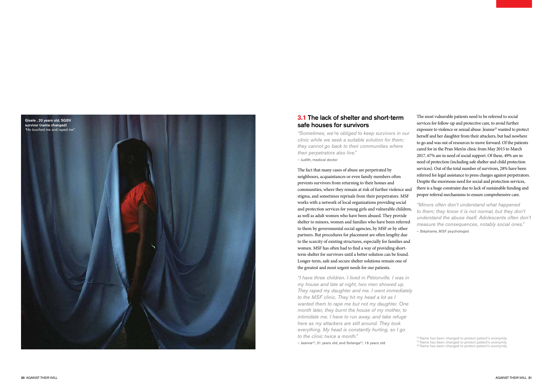# **3.1** The lack of shelter and short-term safe houses for survivors

*"Sometimes, we're obliged to keep survivors in our clinic while we seek a suitable solution for them; they cannot go back to their communities where their perpetrators also live."* 

– Judith, medical doctor

The fact that many cases of abuse are perpetrated by neighbours, acquaintances or even family members often prevents survivors from returning to their homes and communities, where they remain at risk of further violence and stigma, and sometimes reprisals from their perpetrators. MSF works with a network of local organisations providing social and protection services for young girls and vulnerable children, as well as adult women who have been abused. They provide shelter to minors, women and families who have been referred to them by governmental social agencies, by MSF or by other partners. But procedures for placement are often lengthy due to the scarcity of existing structures, especially for families and women. MSF has often had to find a way of providing shortterm shelter for survivors until a better solution can be found. Longer-term, safe and secure shelter solutions remain one of the greatest and most urgent needs for our patients.

*"I have three children. I lived in Pétionville. I was in my house and late at night, two men showed up. They raped my daughter and me. I went immediately to the MSF clinic. They hit my head a lot as I wanted them to rape me but not my daughter. One month later, they burnt the house of my mother, to intimidate me. I have to run away, and take refuge here as my attackers are still around. They took everything. My head is constantly hurting, so I go to the clinic twice a month."* 

– Jeanne23, 31 years old, and Solange24, 16 years old

The most vulnerable patients need to be referred to social services for follow-up and protective care, to avoid further exposure to violence or sexual abuse. Jeanne<sup>25</sup> wanted to protect herself and her daughter from their attackers, but had nowhere to go and was out of resources to move forward. Of the patients cared for in the Pran Men'm clinic from May 2015 to March 2017, 67% are in need of social support. Of these, 49% are in need of protection (including safe shelter and child protection services). Out of the total number of survivors, 28% have been referred for legal assistance to press charges against perpetrators. Despite the enormous need for social and protection services, there is a huge constraint due to lack of sustainable funding and proper referral mechanisms to ensure comprehensive care.

*"Minors often don't understand what happened to them; they know it is not normal, but they don't understand the abuse itself. Adolescents often don't measure the consequences, notably social ones."*  – Stéphanie, MSF psychologist

<sup>23</sup> Name has been changed to protect patient's anonymity. <sup>24</sup> Name has been changed to protect patient's anonymity <sup>25</sup> Name has been changed to protect patient's anonymity.

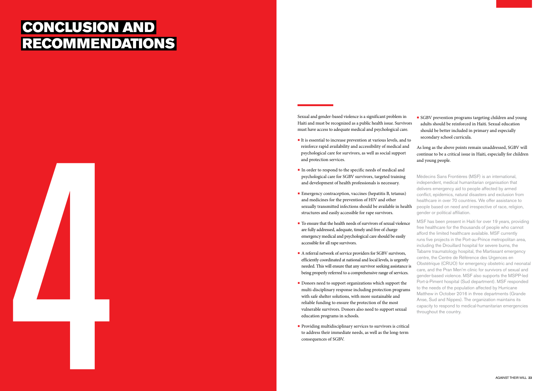4

# CONCLUSION AND RECOMMENDATIONS

Sexual and gender-based violence is a significant problem in Haiti and must be recognized as a public health issue. Survivors must have access to adequate medical and psychological care.

- It is essential to increase prevention at various levels, and to reinforce rapid availability and accessibility of medical and psychological care for survivors, as well as social support and protection services.
- In order to respond to the specific needs of medical and psychological care for SGBV survivors, targeted training and development of health professionals is necessary.
- Emergency contraception, vaccines (hepatitis B, tetanus) and medicines for the prevention of HIV and other sexually transmitted infections should be available in health structures and easily accessible for rape survivors.
- To ensure that the health needs of survivors of sexual violence are fully addressed, adequate, timely and free of charge emergency medical and psychological care should be easily accessible for all rape survivors.
- A referral network of service providers for SGBV survivors, efficiently coordinated at national and local levels, is urgently needed. This will ensure that any survivor seeking assistance is being properly referred to a comprehensive range of services.
- Donors need to support organizations which support the multi-disciplinary response including protection programs with safe shelter solutions, with more sustainable and reliable funding to ensure the protection of the most vulnerable survivors. Donors also need to support sexual education programs in schools.
- Providing multidisciplinary services to survivors is critical to address their immediate needs, as well as the long-term consequences of SGBV.

Médecins Sans Frontières (MSF) is an international, independent, medical humanitarian organisation that delivers emergency aid to people affected by armed conflict, epidemics, natural disasters and exclusion from healthcare in over 70 countries. We offer assistance to people based on need and irrespective of race, religion, gender or political affiliation.

MSF has been present in Haiti for over 19 years, providing free healthcare for the thousands of people who cannot afford the limited healthcare available. MSF currently runs five projects in the Port-au-Prince metropolitan area, including the Drouillard hospital for severe burns, the Tabarre traumatology hospital, the Martissant emergency centre, the Centre de Référence des Urgences en Obstétrique (CRUO) for emergency obstetric and neonatal care, and the Pran Men'm clinic for survivors of sexual and gender-based violence. MSF also supports the MSPP-led Port-à-Piment hospital (Sud department). MSF responded to the needs of the population affected by Hurricane Matthew in October 2016 in three departments (Grande Anse, Sud and Nippes). The organization maintains its capacity to respond to medical-humanitarian emergencies throughout the country.

■ SGBV prevention programs targeting children and young adults should be reinforced in Haiti. Sexual education should be better included in primary and especially secondary school curricula.

As long as the above points remain unaddressed, SGBV will continue to be a critical issue in Haiti, especially for children and young people.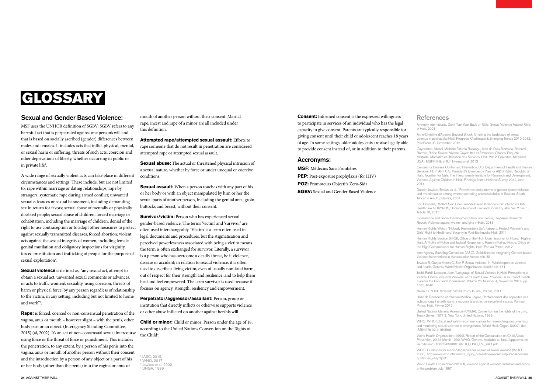MSF uses the UNHCR definition of SGBV: SGBV refers to any harmful act that is perpetrated against one person's will and that is based on socially ascribed (gender) differences between males and females. It includes acts that inflict physical, mental, or sexual harm or suffering, threats of such acts, coercion and other deprivations of liberty, whether occurring in public or in private life<sup>1</sup>.

### Sexual and Gender Based Violence:

A wide range of sexually violent acts can take place in different circumstances and settings. These include, but are not limited to: rape within marriage or dating relationships; rape by strangers; systematic rape during armed conflict; unwanted sexual advances or sexual harassment, including demanding sex in return for favors; sexual abuse of mentally or physically disabled people; sexual abuse of children; forced marriage or cohabitation, including the marriage of children; denial of the right to use contraception or to adopt other measures to protection. against sexually transmitted diseases; forced abortion; violent acts against the sexual integrity of women, including female genital mutilation and obligatory inspections for virginity, forced prostitution and trafficking of people for the purpose of sexual exploitation<sup>2</sup>.

**Sexual violence** is defined as, "any sexual act, attempt to obtain a sexual act, unwanted sexual comments or advances, or acts to traffic women's sexuality, using coercion, threats of harm or physical force, by any person regardless of relationship to the victim, in any setting, including but not limited to home and work"3 .

**Sexual assault:** When a person touches with any part of his or her body or with an object manipulated by him or her the sexual parts of another person, including the genital area, groin, buttocks and breast, without their consent.

**Rape:** is forced, coerced or non-consensual penetration of the vagina, anus or mouth – however slight – with the penis, other body part or an object. (Interagency Standing Committee, 2015) (al, 2002). It's an act of non-consensual sexual intercourse using force or the threat of force or punishment. This includes the penetration, to any extent, by a person of his penis into the vagina, anus or mouth of another person without their consent and the introduction by a person of any object or a part of his or her body (other than the penis) into the vagina or anus or

**Survivor/victim:** Person who has experienced sexual gender-based violence. The terms 'victim' and 'survivor' are often used interchangeably. 'Victim' is a term often used in legal documents and procedures, but the stigmatisation and perceived powerlessness associated with being a victim means the term is often exchanged for survivor. Literally, a survivor is a person who has overcome a deadly threat, be it violence, disease or accident; in relation to sexual violence, it is often used to describe a living victim, even of usually non-fatal harm, out of respect for their strength and resilience, and to help them heal and feel empowered. The term survivor is used because it focuses on agency, strength, resiliency and empowerment.

**Child or minor:** Child or minor: Person under the age of 18, according to the United Nations Convention on the Rights of the Child<sup>4</sup>.

**Consent:** Informed consent is the expressed willingness to participate in services of an individual who has the legal capacity to give consent. Parents are typically responsible for giving consent until their child or adolescent reaches 18 years of age. In some settings, older adolescents are also legally able to provide consent instead of, or in addition to their parents.

#### Accronyms:

**MSF:** Médecins Sans Frontières **PEP:** Post-exposure prophylaxis (for HIV) **POZ:** Promoteurs Objectifs Zero-Sida **SGBV:** Sexual and Gender Based Violence

mouth of another person without their consent. Marital rape, incest and rape of a minor are all included under this definition.

**Attempted rape/attempted sexual assault:** Efforts to rape someone that do not result in penetration are considered attempted rape or attempted sexual assault.

**Sexual abuse:** The actual or threatened physical intrusion of a sexual nature, whether by force or under unequal or coercive conditions.

**Perpetrator/aggressor/assailant:** Person, group or institution that directly inflicts or otherwise supports violence or other abuse inflicted on another against her/his will.



#### References

Amnesty International, Don't Turn Your Back on Girls: Sexual Violence Against Girls in Haiti, 2008

Anne-Christine d'Adesky, Beyond Shock: Charting the landscape of sexual violence in post-quake Haiti: Progress, Challenges & Emerging Trends 2010-2012, PotoFanm+Fi November 2012

Cayemittes, Michel, Michelle Fatuma Busangu, Jean de Dieu Bizimana, Bernard Barrère, Blaise Sévère, Viviane Cayemittes et Emmanuel Charles, Enquête Mortalité, Morbidité et Utilisation des Services, Haïti, 2012. Calverton, Maryland, USA : MSPP, IHE et ICF International, 2012

Centers for Disease Control and Prevention, U.S. Department of Health and Human Services, PEPFAR - U.S. President's Emergency Plan for AIDS Relief, Republic of Haiti, Together for Girls, The Interuniversity Institute for Research and Development, Violence Against Children in Haiti: Findings from a National Survey 2012, June 2014

Dunkle, Jewkes, Brown, et al., "Prevalence and patterns of gender-based violence and revictimization among women attending antenatal clinics in Soweto, South Africa" in Am J Epidemiol, 2004

Fox, Chanelle, "Violent Sex: How Gender-Based Violence is Structured in Haiti, Healthcare & HIV/AIDS," Indiana Journal of Law and Social Equality: Vol. 2: Iss. 1, Article 10, 2013

Governance and Social Development Resource Centre, Helpdesk Research Report: Violence against women and girls in Haiti, 2013

Human Rights Watch, "Nobody Remembers Us": Failure to Protect Women's and Girls' Right to Health and Security in Post-Earthquake Haiti, 2011

Human Rights Section (HRS), Office of the High Commissioner for Human Rights-Haiti, A Profile of Police and Judicial Response to Rape in Port-au-Prince, Office of the High Commissioner for Human Rights, Haiti: Port au Prince, 2012

Inter-Agency Standing Committee (IASC). Guidelines for Integrating Gender-based Violence Interventions in Humanitarian Action. (2015)

Jewkes R, Garcia-Moren C, Sen P. Sexual violence. In: World report on violence and health. Geneva, World Health Organization, 2002:149–181.

Joshi, Rahill, Lescano, Jean, "Language of Sexual Violence in Haiti: Perceptions of Victims, Community-level Workers, and Health Care Providers" in Journal of Health Care for the Poor and Underserved, Volume 25, Number 4, November 2014, pp. 1623-1640

Nolan, C., "Haiti, Violated", World Policy Journal, 28: 93, 2011

Unité de Recherche et d'Action Médico Légale, Renforcement des capacités des acteurs jouant un rôle dans la réponse à la violence sexuelle et sexiste, Port-au-Prince, Haiti, Février 2013

United Nations General Assembly (UNGA). Convention on the rights of the child, Treaty Series, 1577:3. New York, United Nations, 1989.

WHO. WHO Ethical and safety recommendations for researching, documenting and monitoring sexual violence in emergencies. World Heal. Organ. (2007). doi: ISBN 978 92 4 159568 1

World Health Organization (1999). Report of the Consultation on Child Abuse Prevention, 29-31 March 1999, WHO, Geneva. Available at: http://apps.who.int/ iris/bitstream/10665/65900/1/WHO\_HSC\_PVI\_99.1.pdf

WHO. Guidelines for medico-legal care for victims of sexual violence (WHO 2003). http://www.who.int/violence\_injury\_prevention/resources/publications/en/ guidelines\_chap7.pdf

World Health Organization (WHO), Violence against women: Definition and scope of the problem, July 1997

<sup>1</sup> IASC, 2015. <sup>2</sup> WHO, 2017 3 Jewkes et al, 2002 4 UNGA, 1989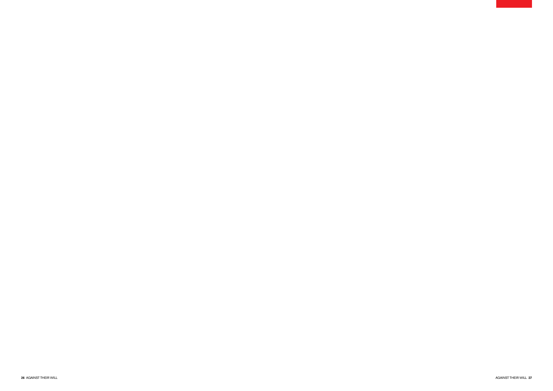AGAINST THEIR WILL AGAINST THEIR WILL 27